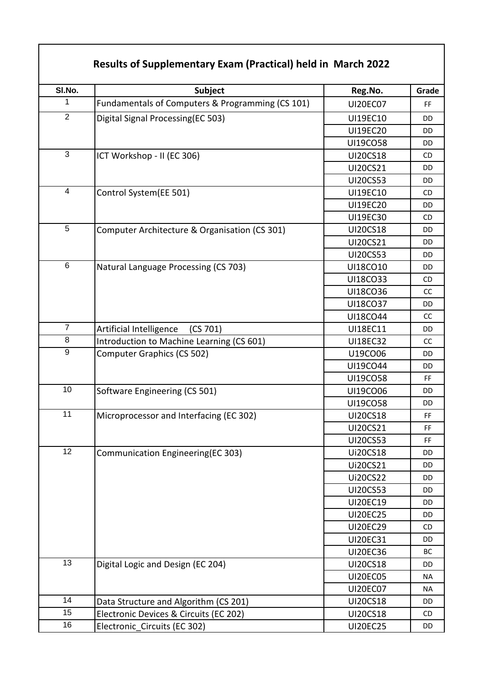## **Results of Supplementary Exam (Practical) held in March 2022**

| SI.No.          | <b>Subject</b>                                   | Reg.No.         | Grade     |
|-----------------|--------------------------------------------------|-----------------|-----------|
| 1               | Fundamentals of Computers & Programming (CS 101) | <b>UI20EC07</b> | FF        |
| $\overline{2}$  | Digital Signal Processing(EC 503)                | UI19EC10        | DD        |
|                 |                                                  | <b>UI19EC20</b> | DD        |
|                 |                                                  | UI19CO58        | <b>DD</b> |
| $\overline{3}$  | ICT Workshop - II (EC 306)                       | <b>UI20CS18</b> | CD        |
|                 |                                                  | UI20CS21        | <b>DD</b> |
|                 |                                                  | <b>UI20CS53</b> | DD        |
| $\overline{4}$  | Control System(EE 501)                           | UI19EC10        | CD        |
|                 |                                                  | <b>UI19EC20</b> | DD        |
|                 |                                                  | <b>UI19EC30</b> | CD.       |
| 5               | Computer Architecture & Organisation (CS 301)    | <b>UI20CS18</b> | DD        |
|                 |                                                  | UI20CS21        | <b>DD</b> |
|                 |                                                  | <b>UI20CS53</b> | <b>DD</b> |
| $\,6$           | Natural Language Processing (CS 703)             | UI18CO10        | <b>DD</b> |
|                 |                                                  | UI18CO33        | CD        |
|                 |                                                  | UI18CO36        | cc        |
|                 |                                                  | UI18CO37        | <b>DD</b> |
|                 |                                                  | UI18CO44        | CC        |
| $\overline{7}$  | Artificial Intelligence<br>(CS 701)              | UI18EC11        | <b>DD</b> |
| 8               | Introduction to Machine Learning (CS 601)        | <b>UI18EC32</b> | cc        |
| 9               | Computer Graphics (CS 502)                       | U19CO06         | <b>DD</b> |
|                 |                                                  | UI19CO44        | DD        |
|                 |                                                  | UI19CO58        | <b>FF</b> |
| 10              | Software Engineering (CS 501)                    | UI19CO06        | DD        |
|                 |                                                  | UI19CO58        | DD        |
| 11              | Microprocessor and Interfacing (EC 302)          | <b>UI20CS18</b> | FF        |
|                 |                                                  | UI20CS21        | FF        |
|                 |                                                  | <b>UI20CS53</b> | FF        |
| $\overline{12}$ | Communication Engineering(EC 303)                | Ui20CS18        | DD        |
|                 |                                                  | Ui20CS21        | DD        |
|                 |                                                  | <b>Ui20CS22</b> | DD        |
|                 |                                                  | <b>UI20CS53</b> | DD        |
|                 |                                                  | <b>UI20EC19</b> | DD        |
|                 |                                                  | <b>UI20EC25</b> | DD        |
|                 |                                                  | <b>UI20EC29</b> | CD        |
|                 |                                                  | <b>UI20EC31</b> | DD        |
|                 |                                                  | <b>UI20EC36</b> | BC        |
| 13              | Digital Logic and Design (EC 204)                | <b>UI20CS18</b> | DD        |
|                 |                                                  | <b>UI20EC05</b> | <b>NA</b> |
|                 |                                                  | <b>UI20EC07</b> | <b>NA</b> |
| 14              | Data Structure and Algorithm (CS 201)            | <b>UI20CS18</b> | DD        |
| 15              | Electronic Devices & Circuits (EC 202)           | <b>UI20CS18</b> | CD.       |
| 16              | Electronic Circuits (EC 302)                     | <b>UI20EC25</b> | DD        |